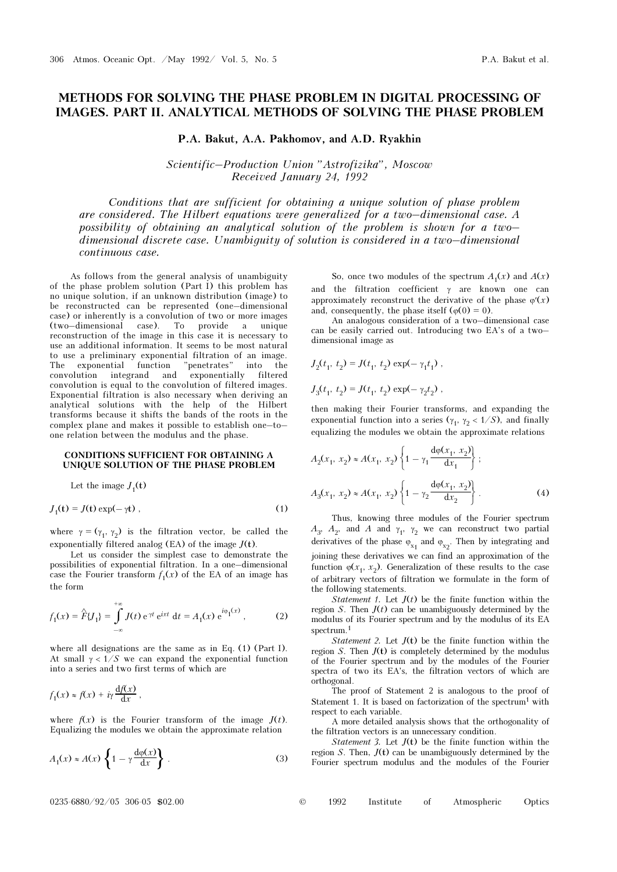# METHODS FOR SOLVING THE PHASE PROBLEM IN DIGITAL PROCESSING OF IMAGES. PART II. ANALYTICAL METHODS OF SOLVING THE PHASE PROBLEM

P.A. Bakut, A.A. Pakhomov, and A.D. Ryakhin

Scientific–Production Union "Astrofizika", Moscow Received January 24, 1992

Conditions that are sufficient for obtaining a unique solution of phase problem are considered. The Hilbert equations were generalized for a two–dimensional case. A possibility of obtaining an analytical solution of the problem is shown for a two– dimensional discrete case. Unambiguity of solution is considered in a two–dimensional continuous case.

As follows from the general analysis of unambiguity of the phase problem solution (Part I) this problem has no unique solution, if an unknown distribution (image) to be reconstructed can be represented (one–dimensional case) or inherently is a convolution of two or more images (two–dimensional case). To provide a unique reconstruction of the image in this case it is necessary to use an additional information. It seems to be most natural to use a preliminary exponential filtration of an image. The exponential function "penetrates" into the The exponential function "penetrates" into the convolution integrand and exponentially filtered convolution is equal to the convolution of filtered images. Exponential filtration is also necessary when deriving an analytical solutions with the help of the Hilbert transforms because it shifts the bands of the roots in the complex plane and makes it possible to establish one–to– one relation between the modulus and the phase.

### CONDITIONS SUFFICIENT FOR OBTAINING A UNIQUE SOLUTION OF THE PHASE PROBLEM

Let the image  $J_1(t)$ 

$$
J_1(\mathbf{t}) = J(\mathbf{t}) \exp(-\gamma \mathbf{t}), \qquad (1)
$$

where  $\gamma = (\gamma_1, \gamma_2)$  is the filtration vector, be called the exponentially filtered analog (EA) of the image  $J(t)$ .

Let us consider the simplest case to demonstrate the possibilities of exponential filtration. In a one–dimensional case the Fourier transform  $f_1(x)$  of the EA of an image has the form

$$
f_1(x) = \hat{F} \{ J_1 \} = \int_{-\infty}^{+\infty} J(t) e^{\gamma t} e^{ixt} dt = A_1(x) e^{i\phi_1(x)}, \qquad (2)
$$

where all designations are the same as in Eq. (1) (Part I). At small  $\gamma < 1/S$  we can expand the exponential function into a series and two first terms of which are

$$
f_1(x) \approx f(x) + i\gamma \frac{\mathrm{d}f(x)}{\mathrm{d}x},
$$

where  $f(x)$  is the Fourier transform of the image  $J(t)$ . Equalizing the modules we obtain the approximate relation

$$
A_1(x) \approx A(x) \left\{ 1 - \gamma \frac{d\varphi(x)}{dx} \right\} . \tag{3}
$$

So, once two modules of the spectrum  $A_1(x)$  and  $A(x)$ and the filtration coefficient  $\gamma$  are known one can approximately reconstruct the derivative of the phase  $\varphi'(x)$ and, consequently, the phase itself ( $\varphi(0) = 0$ ).

An analogous consideration of a two–dimensional case can be easily carried out. Introducing two EA's of a two– dimensional image as

$$
J_2(t_1, t_2) = J(t_1, t_2) \exp(-\gamma_1 t_1),
$$
  

$$
J_3(t_1, t_2) = J(t_1, t_2) \exp(-\gamma_2 t_2),
$$

then making their Fourier transforms, and expanding the exponential function into a series ( $\gamma_1$ ,  $\gamma_2$  < 1/S), and finally equalizing the modules we obtain the approximate relations

$$
A_2(x_1, x_2) \approx A(x_1, x_2) \left\{ 1 - \gamma_1 \frac{d\varphi(x_1, x_2)}{dx_1} \right\};
$$
  

$$
A_3(x_1, x_2) \approx A(x_1, x_2) \left\{ 1 - \gamma_2 \frac{d\varphi(x_1, x_2)}{dx_2} \right\}.
$$
 (4)

Thus, knowing three modules of the Fourier spectrum  $A_3$ ,  $A_2$ , and A and  $\gamma_1$ ,  $\gamma_2$  we can reconstruct two partial derivatives of the phase  $\varphi_{x_1}$  and  $\varphi_{x_2}$ . Then by integrating and joining these derivatives we can find an approximation of the function  $\varphi(x_1, x_2)$ . Generalization of these results to the case of arbitrary vectors of filtration we formulate in the form of the following statements.

*Statement 1.* Let  $J(t)$  be the finite function within the region S. Then  $J(t)$  can be unambiguously determined by the modulus of its Fourier spectrum and by the modulus of its EA spectrum.<sup>1</sup>

Statement 2. Let  $J(t)$  be the finite function within the region  $S$ . Then  $J(t)$  is completely determined by the modulus of the Fourier spectrum and by the modules of the Fourier spectra of two its EA's, the filtration vectors of which are orthogonal.

The proof of Statement 2 is analogous to the proof of Statement 1. It is based on factorization of the spectrum<sup>1</sup> with respect to each variable.

A more detailed analysis shows that the orthogonality of the filtration vectors is an unnecessary condition.

*Statement 3.* Let  $J(t)$  be the finite function within the region S. Then,  $J(t)$  can be unambiguously determined by the Fourier spectrum modulus and the modules of the Fourier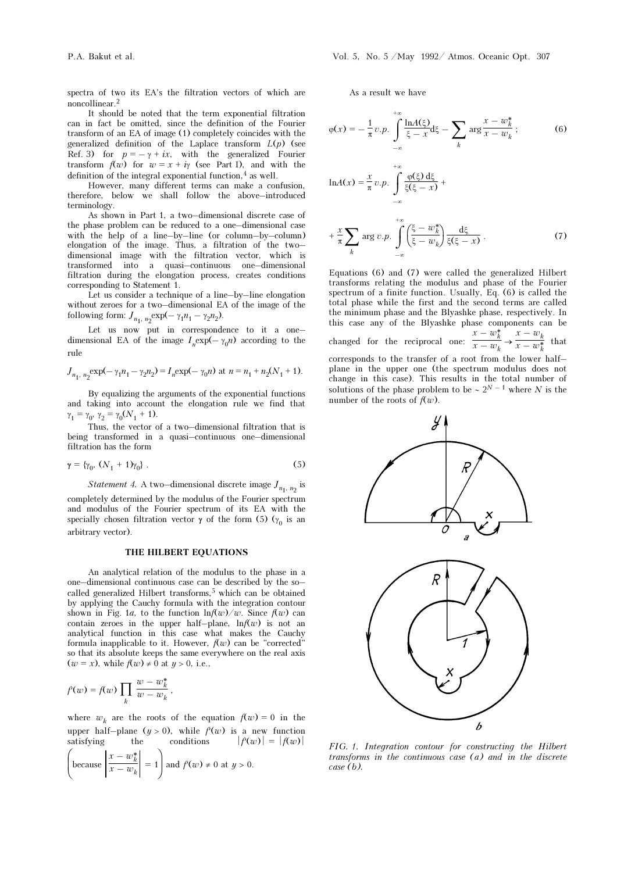spectra of two its EA's the filtration vectors of which are noncollinear.<sup>2</sup>

It should be noted that the term exponential filtration can in fact be omitted, since the definition of the Fourier transform of an EA of image (1) completely coincides with the generalized definition of the Laplace transform  $L(p)$  (see Ref. 3) for  $p = -\gamma + ix$ , with the generalized Fourier transform  $f(w)$  for  $w = x + i\gamma$  (see Part I), and with the definition of the integral exponential function, $4$  as well.

However, many different terms can make a confusion, therefore, below we shall follow the above–introduced terminology.

As shown in Part 1, a two–dimensional discrete case of the phase problem can be reduced to a one–dimensional case with the help of a line–by–line (or column–by–column) elongation of the image. Thus, a filtration of the two– dimensional image with the filtration vector, which is transformed into a quasi–continuous one–dimensional filtration during the elongation process, creates conditions corresponding to Statement 1.

Let us consider a technique of a line–by–line elongation without zeroes for a two–dimensional EA of the image of the following form:  $J_{n_1, n_2} \exp(-\gamma_1 n_1 - \gamma_2 n_2)$ .

Let us now put in correspondence to it a one– dimensional EA of the image  $I_n \exp(-\gamma_0 n)$  according to the rule

$$
J_{n_1, n_2} \exp(-\gamma_1 n_1 - \gamma_2 n_2) = I_n \exp(-\gamma_0 n) \text{ at } n = n_1 + n_2(N_1 + 1).
$$

By equalizing the arguments of the exponential functions and taking into account the elongation rule we find that  $\gamma_1 = \gamma_0, \ \gamma_2 = \gamma_0 (N_1 + 1).$ 

Thus, the vector of a two–dimensional filtration that is being transformed in a quasi–continuous one–dimensional filtration has the form

$$
\gamma = {\gamma_0, (N_1 + 1)\gamma_0} \ . \tag{5}
$$

Statement 4. A two–dimensional discrete image  $J_{n_1, n_2}$  is

completely determined by the modulus of the Fourier spectrum and modulus of the Fourier spectrum of its EA with the specially chosen filtration vector  $\gamma$  of the form (5) ( $\gamma_0$  is an arbitrary vector).

## THE HILBERT EQUATIONS

An analytical relation of the modulus to the phase in a one–dimensional continuous case can be described by the so– called generalized Hilbert transforms, $5$  which can be obtained by applying the Cauchy formula with the integration contour shown in Fig. 1a, to the function  $\ln f(w)/w$ . Since  $f(w)$  can contain zeroes in the upper half-plane,  $\ln f(w)$  is not an analytical function in this case what makes the Cauchy formula inapplicable to it. However,  $f(w)$  can be "corrected" so that its absolute keeps the same everywhere on the real axis  $(w = x)$ , while  $f(w) \neq 0$  at  $y > 0$ , i.e.,

$$
f(w) = f(w) \prod_k \frac{w - w_k^*}{w - w_k},
$$

where  $w_k$  are the roots of the equation  $f(w) = 0$  in the upper half–plane  $(y > 0)$ , while  $f'(w)$  is a new function satisfying the conditions  $|f'(w)| = |f(w)|$ 

$$
\left(\text{because }\left|\frac{x-w_k^*}{x-w_k}\right|=1\right) \text{ and } f'(w)\neq 0 \text{ at } y>0.
$$

As a result we have

–∞

$$
\varphi(x) = -\frac{1}{\pi} v.p. \int_{-\infty}^{+\infty} \frac{\ln A(\xi)}{\xi - x} d\xi - \sum_{k} \arg \frac{x - w_k^*}{x - w_k};
$$
\n
$$
\ln A(x) = \frac{x}{\pi} v.p. \int_{-\infty}^{+\infty} \frac{\varphi(\xi) d\xi}{\xi(\xi - x)} + \frac{x}{\pi} \sum_{k} \arg v.p. \int_{-\infty}^{+\infty} \left(\frac{\xi - w_k^*}{\xi - w_k}\right) \frac{d\xi}{\xi(\xi - x)}.
$$
\n(7)

Equations (6) and (7) were called the generalized Hilbert transforms relating the modulus and phase of the Fourier spectrum of a finite function. Usually, Eq. (6) is called the total phase while the first and the second terms are called the minimum phase and the Blyashke phase, respectively. In this case any of the Blyashke phase components can be changed for the reciprocal one:  $\frac{x - w_k^*}{x - w_k} \to \frac{x - w_k}{x - w_k^*}$  $x - w_k^*$  that corresponds to the transfer of a root from the lower half– plane in the upper one (the spectrum modulus does not change in this case). This results in the total number of solutions of the phase problem to be  $\sim 2^{N-1}$  where N is the



FIG. 1. Integration contour for constructing the Hilbert transforms in the continuous case (a) and in the discrete case (b).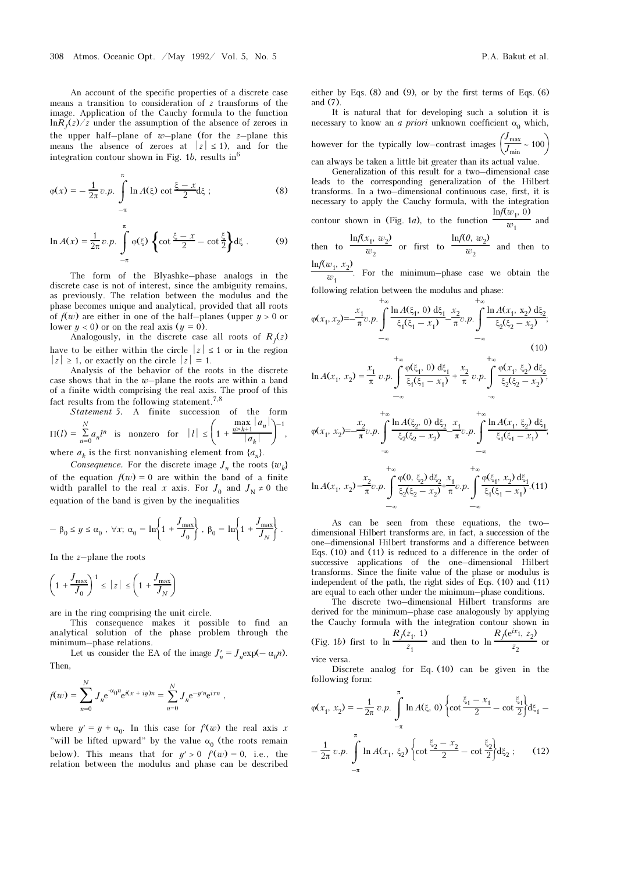An account of the specific properties of a discrete case means a transition to consideration of z transforms of the image. Application of the Cauchy formula to the function  $\ln R_I(z)/z$  under the assumption of the absence of zeroes in the upper half–plane of  $w$ –plane (for the z–plane this means the absence of zeroes at  $|z| \le 1$ , and for the integration contour shown in Fig. 1b, results in  $6$ 

$$
\varphi(x) = -\frac{1}{2\pi} v.p. \int_{-\pi}^{\pi} \ln A(\xi) \cot \frac{\xi - x}{2} d\xi ;
$$
 (8)

$$
\ln A(x) = \frac{1}{2\pi} v.p. \int_{-\pi}^{\pi} \varphi(\xi) \left\{ \cot \frac{\xi - x}{2} - \cot \frac{\xi}{2} \right\} d\xi .
$$
 (9)

The form of the Blyashke–phase analogs in the discrete case is not of interest, since the ambiguity remains, as previously. The relation between the modulus and the phase becomes unique and analytical, provided that all roots of  $f(w)$  are either in one of the half–planes (upper  $y > 0$  or lower  $y < 0$  or on the real axis  $(y = 0)$ .

Analogously, in the discrete case all roots of  $R<sub>I</sub>(z)$ have to be either within the circle  $|z| \leq 1$  or in the region  $|z| \geq 1$ , or exactly on the circle  $|z| = 1$ .

Analysis of the behavior of the roots in the discrete case shows that in the  $w$ -plane the roots are within a band of a finite width comprising the real axis. The proof of this fact results from the following statement.7,8

Statement 5. A finite succession of the form  $\Pi(l) = \sum_{n=0}^{\infty}$ N  $a_n l^n$  is nonzero for  $|l| \leq$  $\left(1 + \frac{\max\limits_{n \geq k+1} |a_n|}{|a_k|}\right)$  $|a_k|$ –1 ,

where  $a_k$  is the first nonvanishing element from  $\{a_n\}$ .

Consequence. For the discrete image  $J_n$  the roots  $\{w_i\}$ of the equation  $f(w) = 0$  are within the band of a finite width parallel to the real x axis. For  $J_0$  and  $J_N \neq 0$  the equation of the band is given by the inequalities

$$
-\beta_0\leq y\leq \alpha_0\ ,\ \forall x;\ \alpha_0=\ln\biggl\{1+\frac{J_{\max}}{J_0}\biggr\}\ ,\ \beta_0=\ln\biggl\{1+\frac{J_{\max}}{J_N}\biggr\}\ .
$$

In the  $z$ -plane the roots

$$
\left(1 + \frac{J_{\max}}{J_0}\right)^{-1} \le |z| \le \left(1 + \frac{J_{\max}}{J_N}\right)
$$

are in the ring comprising the unit circle.

This consequence makes it possible to find an analytical solution of the phase problem through the minimum–phase relations.

Let us consider the EA of the image  $J'_n = J_n \exp(-\alpha_0 n)$ . Then,

$$
f(w) = \sum_{n=0}^{N} J_n e^{-\alpha_0 n} e^{i(x + iy)n} = \sum_{n=0}^{N} J_n e^{-y'n} e^{ixn},
$$

where  $y' = y + \alpha_0$ . In this case for  $f'(w)$  the real axis x "will be lifted upward" by the value  $\alpha_0$  (the roots remain below). This means that for  $y' > 0$   $f'(w) = 0$ , i.e., the relation between the modulus and phase can be described either by Eqs. (8) and (9), or by the first terms of Eqs. (6) and (7).

It is natural that for developing such a solution it is necessary to know an *a priori* unknown coefficient  $\alpha_0$  which, however for the typically low–contrast images  $\left(\frac{J_{\text{max}}}{J_{\text{min}}} \sim 100\right)$  $\frac{max}{J_{min}} \sim 100$ 

can always be taken a little bit greater than its actual value.

Generalization of this result for a two–dimensional case leads to the corresponding generalization of the Hilbert transforms. In a two–dimensional continuous case, first, it is necessary to apply the Cauchy formula, with the integration  $\ln f(w_1, 0)$ 

contour shown in (Fig. 1*a*), to the function 
$$
\frac{w_1}{w_1}
$$
 and

then to 
$$
\frac{\ln f(x_1, w_2)}{w_2}
$$
 or first to  $\frac{\ln f(0, w_2)}{w_2}$  and then to  $\ln f(w_1, x_2)$ .

 $\frac{1}{w_1}$ . For the minimum–phase case we obtain the

following relation between the modulus and phase: +∞

$$
\varphi(x_1, x_2) = -\frac{x_1}{\pi} v \cdot p \cdot \int_{-\infty}^{+\infty} \frac{\ln A(\xi_1, 0) \, d\xi_1}{\xi_1(\xi_1 - x_1)} \frac{x_2}{\pi} v \cdot p \cdot \int_{-\infty}^{+\infty} \frac{\ln A(x_1, x_2) \, d\xi_2}{\xi_2(\xi_2 - x_2)};
$$
\n
$$
+ \infty
$$
\n(10)

$$
\ln A(x_1, x_2) = \frac{x_1}{\pi} v.p. \int_{-\infty}^{\infty} \frac{\varphi(\xi_1, 0) \, d\xi_1}{\xi_1(\xi_1 - x_1)} + \frac{x_2}{\pi} v.p. \int_{-\infty}^{\infty} \frac{\varphi(x_1, \xi_2) \, d\xi_2}{\xi_2(\xi_2 - x_2)},
$$

$$
\varphi(x_1, x_2) = -\frac{x_2}{\pi} \nu \cdot p \cdot \int_{-\infty}^{+\infty} \frac{\ln A(\xi_2, 0) \, d\xi_2}{\xi_2(\xi_2 - x_2)} \frac{x_1}{\pi} \nu \cdot p \cdot \int_{-\infty}^{+\infty} \frac{\ln A(x_1, \xi_2) \, d\xi_1}{\xi_1(\xi_1 - x_1)};
$$

$$
\ln A(x_1, x_2) = \frac{x_2}{\pi} v.p. \int_{-\infty}^{+\infty} \frac{\varphi(0, \xi_2) d\xi_2}{\xi_2(\xi_2 - x_2)} + \frac{x_1}{\pi} v.p. \int_{-\infty}^{+\infty} \frac{\varphi(\xi_1, x_2) d\xi_1}{\xi_1(\xi_1 - x_1)}. (11)
$$

As can be seen from these equations, the two– dimensional Hilbert transforms are, in fact, a succession of the one–dimensional Hilbert transforms and a difference between Eqs. (10) and (11) is reduced to a difference in the order of successive applications of the one–dimensional Hilbert transforms. Since the finite value of the phase or modulus is independent of the path, the right sides of Eqs. (10) and (11) are equal to each other under the minimum–phase conditions.

The discrete two–dimensional Hilbert transforms are derived for the minimum–phase case analogously by applying the Cauchy formula with the integration contour shown in (Fig. 1b) first to  $\ln \frac{R_j(z_1, 1)}{z_1}$  $\frac{z_1, 1}{z_1}$  and then to  $\ln \frac{R_f(e^{iz_1}, z_2)}{z_2}$  $\frac{z}{z_2}$  or vice versa.

Discrete analog for Eq. (10) can be given in the following form:

$$
\varphi(x_1, x_2) = -\frac{1}{2\pi} v.p. \int_{-\pi}^{\pi} \ln A(\xi, 0) \left\{ \cot \frac{\xi_1 - x_1}{2} - \cot \frac{\xi_1}{2} \right\} d\xi_1 - \frac{1}{2\pi} v.p. \int_{-\pi}^{\pi} \ln A(x_1, \xi_2) \left\{ \cot \frac{\xi_2 - x_2}{2} - \cot \frac{\xi_2}{2} \right\} d\xi_2 ; \quad (12)
$$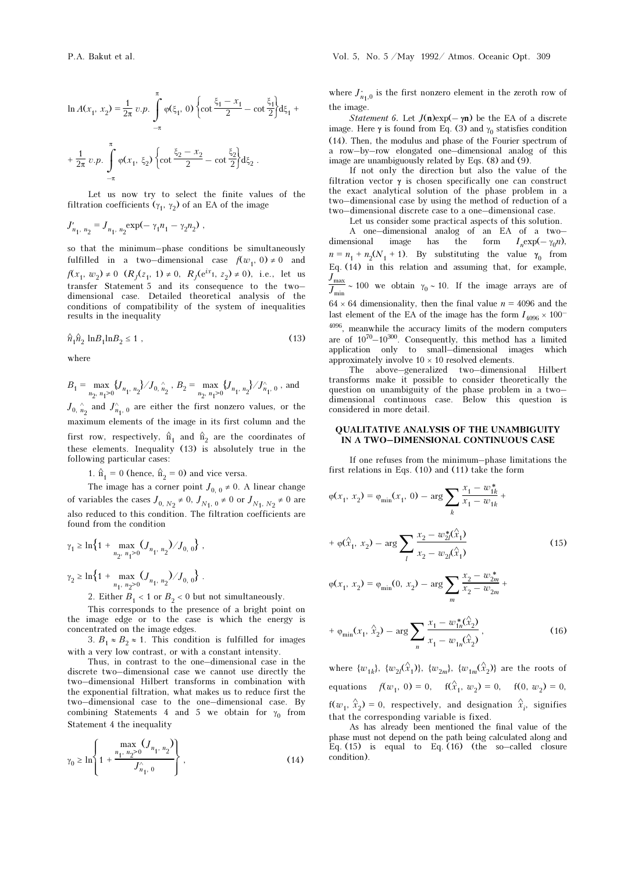$$
\ln A(x_1, x_2) = \frac{1}{2\pi} v.p. \int_{-\pi}^{\pi} \varphi(\xi_1, 0) \left\{ \cot \frac{\xi_1 - x_1}{2} - \cot \frac{\xi_1}{2} \right\} d\xi_1 + \frac{1}{2\pi} v.p. \int_{-\pi}^{\pi} \varphi(x_1, \xi_2) \left\{ \cot \frac{\xi_2 - x_2}{2} - \cot \frac{\xi_2}{2} \right\} d\xi_2.
$$

Let us now try to select the finite values of the filtration coefficients ( $\gamma_1$ ,  $\gamma_2$ ) of an EA of the image

$$
J'_{n_1, n_2} = J_{n_1, n_2} \exp(-\gamma_1 n_1 - \gamma_2 n_2) ,
$$

so that the minimum–phase conditions be simultaneously fulfilled in a two–dimensional case  $f(w_1, 0) \neq 0$  and  $f(x_1, w_2) \neq 0$   $(R_j(z_1, 1) \neq 0, R_j(e^{ix_1}, z_2) \neq 0)$ , i.e., let us transfer Statement 5 and its consequence to the two– dimensional case. Detailed theoretical analysis of the conditions of compatibility of the system of inequalities results in the inequality

$$
\hat{n}_1 \hat{n}_2 \ln B_1 \ln B_2 \le 1 \tag{13}
$$

where

$$
B_1=\max\limits_{n_2,~n_1\geq 0}\{J_{n_1,~n_2}\}/J_{0,~n_2}
$$
 ,  $B_2=\max\limits_{n_2,~n_1\geq 0}\{J_{n_1,~n_2}\}/J_{n_1,~0}^{\wedge}$  , and

 $J_{0, n}^{\wedge}$  $\int_{n_1, 0}^{\wedge}$  are either the first nonzero values, or the maximum elements of the image in its first column and the first row, respectively,  $\hat{n}_1$  and  $\hat{n}_2$  are the coordinates of these elements. Inequality (13) is absolutely true in the following particular cases:

1.  $\hat{n}_1 = 0$  (hence,  $\hat{n}_2 = 0$ ) and vice versa.

The image has a corner point  $J_{0, 0} \neq 0$ . A linear change of variables the cases  $J_{0, N_2} \neq 0$ ,  $J_{N_1, 0} \neq 0$  or  $J_{N_1, N_2} \neq 0$  are also reduced to this condition. The filtration coefficients are found from the condition

$$
\gamma_1 \ge \ln\left\{1 + \max_{n_2, n_1 \ge 0} (J_{n_1, n_2}) / J_{0, 0}\right\},\,
$$
  

$$
\gamma_2 \ge \ln\left\{1 + \max_{n_1, n_2 \ge 0} (J_{n_1, n_2}) / J_{0, 0}\right\}.
$$

2. Either  $B_1 < 1$  or  $B_2 < 0$  but not simultaneously.

This corresponds to the presence of a bright point on the image edge or to the case is which the energy is concentrated on the image edges.

3.  $B_1 \approx B_2 \approx 1$ . This condition is fulfilled for images with a very low contrast, or with a constant intensity.

Thus, in contrast to the one–dimensional case in the discrete two–dimensional case we cannot use directly the two–dimensional Hilbert transforms in combination with the exponential filtration, what makes us to reduce first the two–dimensional case to the one–dimensional case. By combining Statements 4 and 5 we obtain for  $\gamma_0$  from Statement 4 the inequality

$$
\gamma_0 \ge \ln \left\{ 1 + \frac{\max\limits_{n_1, n_2 > 0} (J_{n_1, n_2})}{J_{n_1, 0}^{\wedge}} \right\},
$$
\n(14)

where  $J_{n_1,0}$  is the first nonzero element in the zeroth row of the image.

*Statement 6.* Let  $J(n)exp(-\gamma n)$  be the EA of a discrete image. Here  $\gamma$  is found from Eq. (3) and  $\gamma_0$  statisfies condition (14). Then, the modulus and phase of the Fourier spectrum of a row–by–row elongated one–dimensional analog of this image are unambiguously related by Eqs. (8) and (9).

If not only the direction but also the value of the filtration vector  $\gamma$  is chosen specifically one can construct the exact analytical solution of the phase problem in a two–dimensional case by using the method of reduction of a two–dimensional discrete case to a one–dimensional case.

Let us consider some practical aspects of this solution.

A one–dimensional analog of an EA of a two– dimensional image has the form  $I_n \exp(-\gamma_0 n)$ ,  $n = n_1 + n_2(N_1 + 1)$ . By substituting the value  $\gamma_0$  from Eq. (14) in this relation and assuming that, for example,  $J_{\mathrm{max}}$  $J_{\text{min}} \sim 100$  we obtain  $\gamma_0 \sim 10$ . If the image arrays are of  $64 \times 64$  dimensionality, then the final value  $n = 4096$  and the last element of the EA of the image has the form  $I_{4096} \times 100^{-7}$ <sup>4096</sup>, meanwhile the accuracy limits of the modern computers are of  $10^{70}-10^{300}$ . Consequently, this method has a limited application only to small–dimensional images which

approximately involve  $10 \times 10$  resolved elements. The above–generalized two–dimensional Hilbert transforms make it possible to consider theoretically the question on unambiguity of the phase problem in a two– dimensional continuous case. Below this question is considered in more detail.

### QUALITATIVE ANALYSIS OF THE UNAMBIGUITY IN A TWO–DIMENSIONAL CONTINUOUS CASE

If one refuses from the minimum–phase limitations the first relations in Eqs. (10) and (11) take the form

$$
\varphi(x_1, x_2) = \varphi_{\min}(x_1, 0) - \arg \sum_{k} \frac{x_1 - w_{1k}^*}{x_1 - w_{1k}} +
$$
  
+ 
$$
\varphi(\hat{x}_1, x_2) - \arg \sum_{l} \frac{x_2 - w_{2l}^*(\hat{x}_1)}{x_2 - w_{2l}(\hat{x}_1)}
$$
  

$$
\varphi(x_1, x_2) = \varphi_{\min}(0, x_2) - \arg \sum_{k} \frac{x_2 - w_{2m}^*}{x_2 - w_{2m}} +
$$
 (15)

$$
\varphi(x_1, x_2) = \varphi_{\min}(0, x_2) - \arg \sum_{m} \frac{1}{x_2 - w_{2m}} +
$$

$$
+ \varphi_{\min}(x_1, \hat{x}_2) - \arg \sum_{n} \frac{x_1 - w_{1n}^*(\hat{x}_2)}{x_1 - w_{1n}(\hat{x}_2)},
$$
(16)

where  $\{w_{1k}\}, \ \{w_{2l}(\hat{x}_1)\}, \ \{w_{2m}\}, \ \{w_{1m}(\hat{x}_2)\}\$  are the roots of equations  $f(w_1, 0) = 0$ ,  $f(\hat{x}_1, w_2) = 0$ ,  $f(0, w_2) = 0$ ,  $f(w_1, \hat{x}_2) = 0$ , respectively, and designation  $\hat{x}$  $i_i$ , signifies that the corresponding variable is fixed.

As has already been mentioned the final value of the phase must not depend on the path being calculated along and Eq. (15) is equal to Eq. (16) (the so–called closure condition).